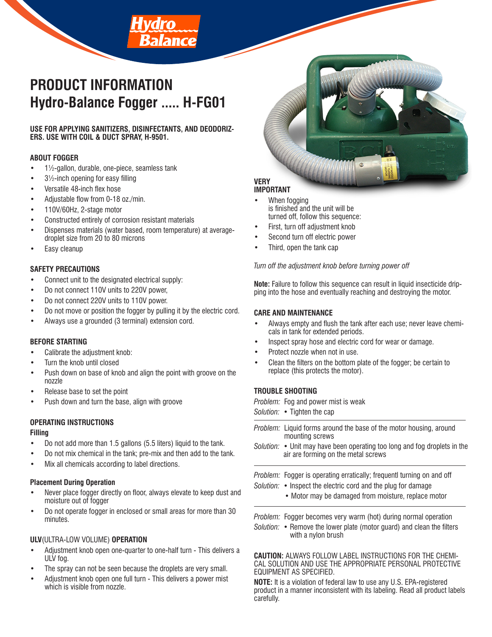# **PRODUCT INFORMATION Hydro-Balance Fogger ..... H-FG01**

alance

#### **USE FOR APPLYING SANITIZERS, DISINFECTANTS, AND DEODORIZ-ERS. USE WITH COIL & DUCT SPRAY, H-9501.**

# **ABOUT FOGGER**

- 1½-gallon, durable, one-piece, seamless tank
- $3\frac{1}{2}$ -inch opening for easy filling
- Versatile 48-inch flex hose
- Adjustable flow from 0-18 oz./min.
- 110V/60Hz, 2-stage motor
- Constructed entirely of corrosion resistant materials
- Dispenses materials (water based, room temperature) at averagedroplet size from 20 to 80 microns
- Easy cleanup

### **SAFETY PRECAUTIONS**

- Connect unit to the designated electrical supply:
- Do not connect 110V units to 220V power,
- Do not connect 220V units to 110V power.
- Do not move or position the fogger by pulling it by the electric cord.
- Always use a grounded (3 terminal) extension cord.

#### **BEFORE STARTING**

- Calibrate the adjustment knob:
- Turn the knob until closed
- Push down on base of knob and align the point with groove on the nozzle
- Release base to set the point
- Push down and turn the base, align with groove

# **OPERATING INSTRUCTIONS**

#### **Filling**

- Do not add more than 1.5 gallons (5.5 liters) liquid to the tank.
- Do not mix chemical in the tank; pre-mix and then add to the tank.
- Mix all chemicals according to label directions.

#### **Placement During Operation**

- Never place fogger directly on floor, always elevate to keep dust and moisture out of fogger
- Do not operate fogger in enclosed or small areas for more than 30 minutes.

# **ULV**(ULTRA-LOW VOLUME) **OPERATION**

- Adjustment knob open one-quarter to one-half turn This delivers a ULV fog.
- The spray can not be seen because the droplets are very small.
- Adjustment knob open one full turn This delivers a power mist which is visible from nozzle.



#### **VERY IMPORTANT**

- When fogging is finished and the unit will be turned off, follow this sequence:
- First, turn off adjustment knob
- Second turn off electric power
- Third, open the tank cap

*Turn off the adjustment knob before turning power off*

**Note:** Failure to follow this sequence can result in liquid insecticide dripping into the hose and eventually reaching and destroying the motor.

### **CARE AND MAINTENANCE**

- Always empty and flush the tank after each use; never leave chemicals in tank for extended periods.
- Inspect spray hose and electric cord for wear or damage.
- Protect nozzle when not in use.
- Clean the filters on the bottom plate of the fogger; be certain to replace (this protects the motor).

# **TROUBLE SHOOTING**

| Problem: Fog and power mist is weak<br>Solution: • Tighten the cap                                                                                                                                    |
|-------------------------------------------------------------------------------------------------------------------------------------------------------------------------------------------------------|
| <i>Problem:</i> Liquid forms around the base of the motor housing, around<br>mounting screws                                                                                                          |
| Solution: • Unit may have been operating too long and fog droplets in the<br>air are forming on the metal screws                                                                                      |
| <i>Problem:</i> Fogger is operating erratically; frequentl turning on and off<br>Solution: • Inspect the electric cord and the plug for damage<br>• Motor may be damaged from moisture, replace motor |
| <i>Problem:</i> Fogger becomes very warm (hot) during normal operation<br>Solution: • Remove the lower plate (motor guard) and clean the filters<br>with a nylon brush                                |
| <b>CAUTION: ALWAYS FOLLOW LABEL INSTRUCTIONS FOR THE CHEMI-</b>                                                                                                                                       |

CAL SOLUTION AND USE THE APPROPRIATE PERSONAL PROTECTIVE EQUIPMENT AS SPECIFIED.

**NOTE:** It is a violation of federal law to use any U.S. EPA-registered product in a manner inconsistent with its labeling. Read all product labels carefully.